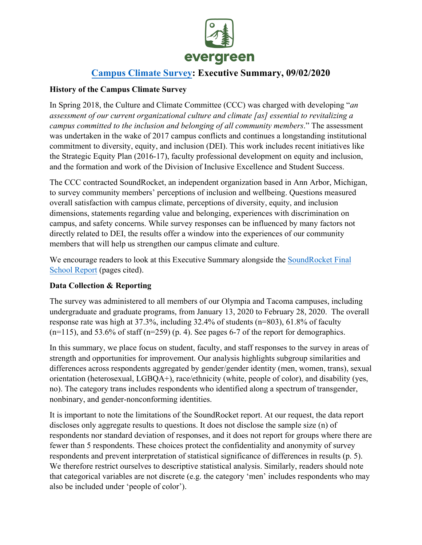

# **Campus Climate [Survey: Execu](https://www.evergreen.edu/sites/default/files/Evergreen%20Report%20F2%2020200901.pdf)tive Summary, 09/02/2020**

#### **History of the Campus Climate Survey**

In Spring 2018, the Culture and Climate Committee (CCC) was charged with developing "*an assessment of our current organizational culture and climate [as] essential to revitalizing a campus committed to the inclusion and belonging of all community members*." The assessment was undertaken in the wake of 2017 campus conflicts and continues a longstanding institutional commitment to diversity, equity, and inclusion (DEI). This work includes recent initiatives like the Strategic Equity Plan (2016-17), faculty professional development on equity and inclusion, and the formation and work of the Division of Inclusive Excellence and Student Success.

The CCC contracted SoundRocket, an independent organization based in Ann Arbor, Michigan, to survey community members' perceptions of inclusion and wellbeing. Questions measured overall satisfaction with campus climate, perceptions of diversity, equity, and inclusion dimensions, statements regarding value and belonging, experiences with discrimination on campus, and safety concerns. While survey responses can be influenced by many factors not directly related to DEI, the results offer a window into the experiences of our community members that will help us strengthen our campus climate and culture.

We encourage readers to look at this Executive Summary alongside the SoundRocket Final [School Report](https://www.evergreen.edu/sites/default/files/Evergreen%20Report%20F2%2020200901.pdf) (pages cited).

# **Data Collection & Reporting**

The survey was administered to all members of our Olympia and Tacoma campuses, including undergraduate and graduate programs, from January 13, 2020 to February 28, 2020. The overall response rate was high at 37.3%, including 32.4% of students (n=803), 61.8% of faculty  $(n=115)$ , and 53.6% of staff  $(n=259)$  (p. 4). See pages 6-7 of the report for demographics.

In this summary, we place focus on student, faculty, and staff responses to the survey in areas of strength and opportunities for improvement. Our analysis highlights subgroup similarities and differences across respondents aggregated by gender/gender identity (men, women, trans), sexual orientation (heterosexual, LGBQA+), race/ethnicity (white, people of color), and disability (yes, no). The category trans includes respondents who identified along a spectrum of transgender, nonbinary, and gender-nonconforming identities.

It is important to note the limitations of the SoundRocket report. At our request, the data report discloses only aggregate results to questions. It does not disclose the sample size (n) of respondents nor standard deviation of responses, and it does not report for groups where there are fewer than 5 respondents. These choices protect the confidentiality and anonymity of survey respondents and prevent interpretation of statistical significance of differences in results (p. 5). We therefore restrict ourselves to descriptive statistical analysis. Similarly, readers should note that categorical variables are not discrete (e.g. the category 'men' includes respondents who may also be included under 'people of color').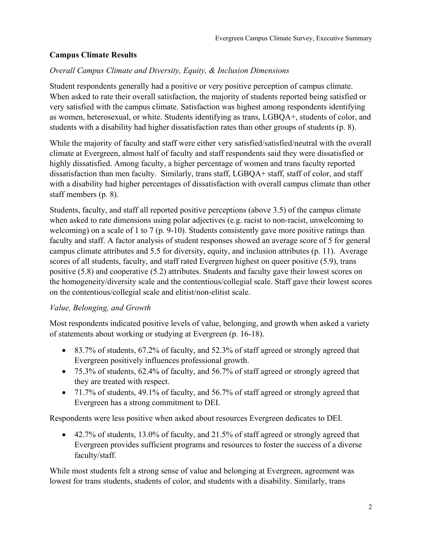# **Campus Climate Results**

#### *Overall Campus Climate and Diversity, Equity, & Inclusion Dimensions*

Student respondents generally had a positive or very positive perception of campus climate. When asked to rate their overall satisfaction, the majority of students reported being satisfied or very satisfied with the campus climate. Satisfaction was highest among respondents identifying as women, heterosexual, or white. Students identifying as trans, LGBQA+, students of color, and students with a disability had higher dissatisfaction rates than other groups of students (p. 8).

While the majority of faculty and staff were either very satisfied/satisfied/neutral with the overall climate at Evergreen, almost half of faculty and staff respondents said they were dissatisfied or highly dissatisfied. Among faculty, a higher percentage of women and trans faculty reported dissatisfaction than men faculty. Similarly, trans staff, LGBQA+ staff, staff of color, and staff with a disability had higher percentages of dissatisfaction with overall campus climate than other staff members (p. 8).

Students, faculty, and staff all reported positive perceptions (above 3.5) of the campus climate when asked to rate dimensions using polar adjectives (e.g. racist to non-racist, unwelcoming to welcoming) on a scale of 1 to 7 (p. 9-10). Students consistently gave more positive ratings than faculty and staff. A factor analysis of student responses showed an average score of 5 for general campus climate attributes and 5.5 for diversity, equity, and inclusion attributes (p. 11). Average scores of all students, faculty, and staff rated Evergreen highest on queer positive (5.9), trans positive (5.8) and cooperative (5.2) attributes. Students and faculty gave their lowest scores on the homogeneity/diversity scale and the contentious/collegial scale. Staff gave their lowest scores on the contentious/collegial scale and elitist/non-elitist scale.

#### *Value, Belonging, and Growth*

Most respondents indicated positive levels of value, belonging, and growth when asked a variety of statements about working or studying at Evergreen (p. 16-18).

- 83.7% of students, 67.2% of faculty, and 52.3% of staff agreed or strongly agreed that Evergreen positively influences professional growth.
- 75.3% of students, 62.4% of faculty, and 56.7% of staff agreed or strongly agreed that they are treated with respect.
- 71.7% of students, 49.1% of faculty, and 56.7% of staff agreed or strongly agreed that Evergreen has a strong commitment to DEI.

Respondents were less positive when asked about resources Evergreen dedicates to DEI.

• 42.7% of students, 13.0% of faculty, and 21.5% of staff agreed or strongly agreed that Evergreen provides sufficient programs and resources to foster the success of a diverse faculty/staff.

While most students felt a strong sense of value and belonging at Evergreen, agreement was lowest for trans students, students of color, and students with a disability. Similarly, trans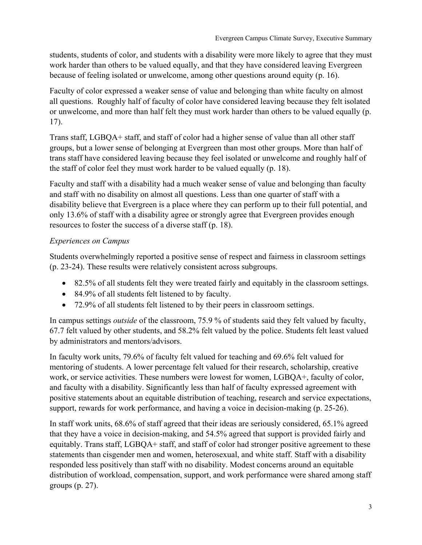students, students of color, and students with a disability were more likely to agree that they must work harder than others to be valued equally, and that they have considered leaving Evergreen because of feeling isolated or unwelcome, among other questions around equity (p. 16).

Faculty of color expressed a weaker sense of value and belonging than white faculty on almost all questions. Roughly half of faculty of color have considered leaving because they felt isolated or unwelcome, and more than half felt they must work harder than others to be valued equally (p. 17).

Trans staff, LGBQA+ staff, and staff of color had a higher sense of value than all other staff groups, but a lower sense of belonging at Evergreen than most other groups. More than half of trans staff have considered leaving because they feel isolated or unwelcome and roughly half of the staff of color feel they must work harder to be valued equally (p. 18).

Faculty and staff with a disability had a much weaker sense of value and belonging than faculty and staff with no disability on almost all questions. Less than one quarter of staff with a disability believe that Evergreen is a place where they can perform up to their full potential, and only 13.6% of staff with a disability agree or strongly agree that Evergreen provides enough resources to foster the success of a diverse staff (p. 18).

# *Experiences on Campus*

Students overwhelmingly reported a positive sense of respect and fairness in classroom settings (p. 23-24). These results were relatively consistent across subgroups.

- 82.5% of all students felt they were treated fairly and equitably in the classroom settings.
- 84.9% of all students felt listened to by faculty.
- 72.9% of all students felt listened to by their peers in classroom settings.

In campus settings *outside* of the classroom, 75.9 % of students said they felt valued by faculty, 67.7 felt valued by other students, and 58.2% felt valued by the police. Students felt least valued by administrators and mentors/advisors.

In faculty work units, 79.6% of faculty felt valued for teaching and 69.6% felt valued for mentoring of students. A lower percentage felt valued for their research, scholarship, creative work, or service activities. These numbers were lowest for women, LGBQA+, faculty of color, and faculty with a disability. Significantly less than half of faculty expressed agreement with positive statements about an equitable distribution of teaching, research and service expectations, support, rewards for work performance, and having a voice in decision-making (p. 25-26).

In staff work units, 68.6% of staff agreed that their ideas are seriously considered, 65.1% agreed that they have a voice in decision-making, and 54.5% agreed that support is provided fairly and equitably. Trans staff, LGBQA+ staff, and staff of color had stronger positive agreement to these statements than cisgender men and women, heterosexual, and white staff. Staff with a disability responded less positively than staff with no disability. Modest concerns around an equitable distribution of workload, compensation, support, and work performance were shared among staff groups (p. 27).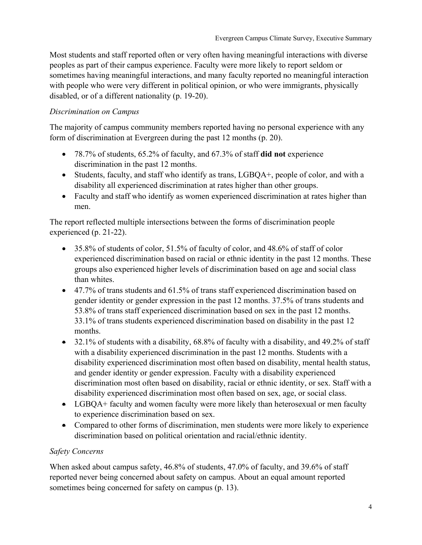Most students and staff reported often or very often having meaningful interactions with diverse peoples as part of their campus experience. Faculty were more likely to report seldom or sometimes having meaningful interactions, and many faculty reported no meaningful interaction with people who were very different in political opinion, or who were immigrants, physically disabled, or of a different nationality (p. 19-20).

# *Discrimination on Campus*

The majority of campus community members reported having no personal experience with any form of discrimination at Evergreen during the past 12 months (p. 20).

- 78.7% of students, 65.2% of faculty, and 67.3% of staff **did not** experience discrimination in the past 12 months.
- Students, faculty, and staff who identify as trans, LGBQA+, people of color, and with a disability all experienced discrimination at rates higher than other groups.
- Faculty and staff who identify as women experienced discrimination at rates higher than men.

The report reflected multiple intersections between the forms of discrimination people experienced (p. 21-22).

- 35.8% of students of color, 51.5% of faculty of color, and 48.6% of staff of color experienced discrimination based on racial or ethnic identity in the past 12 months. These groups also experienced higher levels of discrimination based on age and social class than whites.
- 47.7% of trans students and 61.5% of trans staff experienced discrimination based on gender identity or gender expression in the past 12 months. 37.5% of trans students and 53.8% of trans staff experienced discrimination based on sex in the past 12 months. 33.1% of trans students experienced discrimination based on disability in the past 12 months.
- $\bullet$  32.1% of students with a disability, 68.8% of faculty with a disability, and 49.2% of staff with a disability experienced discrimination in the past 12 months. Students with a disability experienced discrimination most often based on disability, mental health status, and gender identity or gender expression. Faculty with a disability experienced discrimination most often based on disability, racial or ethnic identity, or sex. Staff with a disability experienced discrimination most often based on sex, age, or social class.
- LGBQA+ faculty and women faculty were more likely than heterosexual or men faculty to experience discrimination based on sex.
- Compared to other forms of discrimination, men students were more likely to experience discrimination based on political orientation and racial/ethnic identity.

# *Safety Concerns*

When asked about campus safety, 46.8% of students, 47.0% of faculty, and 39.6% of staff reported never being concerned about safety on campus. About an equal amount reported sometimes being concerned for safety on campus (p. 13).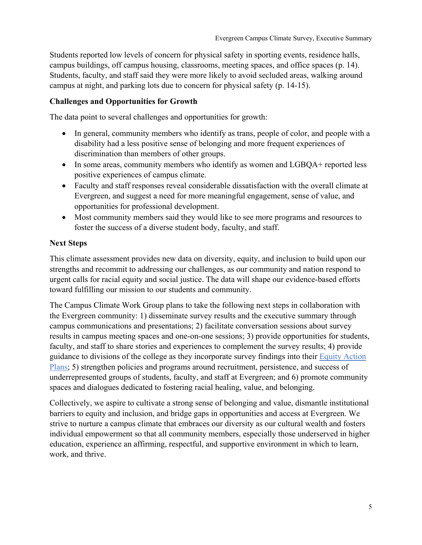Students reported low levels of concern for physical safety in sporting events, residence halls, campus buildings, off campus housing, classrooms, meeting spaces, and office spaces (p. 14). Students, faculty, and staff said they were more likely to avoid secluded areas, walking around campus at night, and parking lots due to concern for physical safety (p. 14-15).

#### **Challenges and Opportunities for Growth**

The data point to several challenges and opportunities for growth:

- In general, community members who identify as trans, people of color, and people with a disability had a less positive sense of belonging and more frequent experiences of discrimination than members of other groups.
- In some areas, community members who identify as women and LGBQA+ reported less positive experiences of campus climate.
- Faculty and staff responses reveal considerable dissatisfaction with the overall climate at Evergreen, and suggest a need for more meaningful engagement, sense of value, and opportunities for professional development.
- Most community members said they would like to see more programs and resources to foster the success of a diverse student body, faculty, and staff.

#### **Next Steps**

This climate assessment provides new data on diversity, equity, and inclusion to build upon our strengths and recommit to addressing our challenges, as our community and nation respond to urgent calls for racial equity and social justice. The data will shape our evidence-based efforts toward fulfilling our mission to our students and community.

The Campus Climate Work Group plans to take the following next steps in collaboration with the Evergreen community: 1) disseminate survey results and the executive summary through campus communications and presentations; 2) facilitate conversation sessions about survey results in campus meeting spaces and one-on-one sessions; 3) provide opportunities for students, faculty, and staff to share stories and experiences to complement the survey results; 4) provide guidance to divisions of the college as they incorporate survey findings into their [Equity Action](https://www.evergreen.edu/sites/default/files/Intro%20to%20SOAR.pdf)  [Plans;](https://www.evergreen.edu/sites/default/files/Intro%20to%20SOAR.pdf) 5) strengthen policies and programs around recruitment, persistence, and success of underrepresented groups of students, faculty, and staff at Evergreen; and 6) promote community spaces and dialogues dedicated to fostering racial healing, value, and belonging.

Collectively, we aspire to cultivate a strong sense of belonging and value, dismantle institutional barriers to equity and inclusion, and bridge gaps in opportunities and access at Evergreen. We strive to nurture a campus climate that embraces our diversity as our cultural wealth and fosters individual empowerment so that all community members, especially those underserved in higher education, experience an affirming, respectful, and supportive environment in which to learn, work, and thrive.